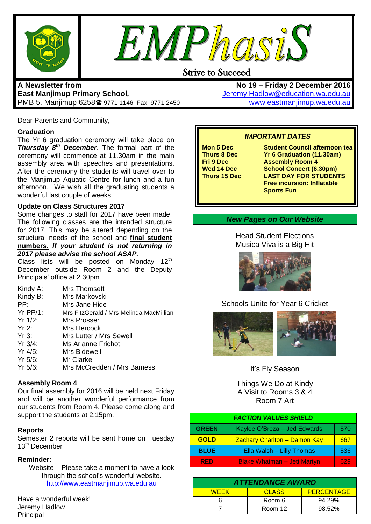



## **A Newsletter from East Manjimup Primary School***,*  PMB 5, Manjimup 6258 9771 1146 Fax: 9771 2450

Dear Parents and Community,

#### **Graduation**

The Yr 6 graduation ceremony will take place on *Thursday 8th December*. The formal part of the ceremony will commence at 11.30am in the main assembly area with speeches and presentations. After the ceremony the students will travel over to the Manjimup Aquatic Centre for lunch and a fun afternoon. We wish all the graduating students a wonderful last couple of weeks.

#### **Update on Class Structures 2017**

Some changes to staff for 2017 have been made. The following classes are the intended structure for 2017. This may be altered depending on the structural needs of the school and **final student numbers.** *If your student is not returning in 2017 please advise the school ASAP.*

Class lists will be posted on Monday 12<sup>th</sup> December outside Room 2 and the Deputy Principals' office at 2.30pm.

| Kindy A:   | <b>Mrs Thomsett</b>                     |
|------------|-----------------------------------------|
| Kindy B:   | Mrs Markovski                           |
| PP:        | Mrs Jane Hide                           |
| $Yr$ PP/1: | Mrs FitzGerald / Mrs Melinda MacMillian |
| Yr 1/2:    | Mrs Prosser                             |
| Yr 2:      | Mrs Hercock                             |
| Yr3:       | Mrs Lutter / Mrs Sewell                 |
| Yr 3/4:    | Ms Arianne Frichot                      |
| $Yr$ 4/5:  | Mrs Bidewell                            |
| $Yr$ 5/6:  | Mr Clarke                               |
| $Yr$ 5/6:  | Mrs McCredden / Mrs Bamess              |
|            |                                         |

### **Assembly Room 4**

Our final assembly for 2016 will be held next Friday and will be another wonderful performance from our students from Room 4. Please come along and support the students at 2.15pm.

### **Reports**

Semester 2 reports will be sent home on Tuesday  $13<sup>th</sup>$  December

### **Reminder:**

Website – Please take a moment to have a look through the school's wonderful website. [http://www.eastmanjimup.wa.edu.au](http://www.eastmanjimup.wa.edu.au/)

Have a wonderful week! Jeremy Hadlow Principal

**No 19 – Friday 2 December 2016** [Jeremy.Hadlow@education.wa.edu.au](mailto:Jeremy.Hadlow@education.wa.edu.au) [www.eastmanjimup.wa.edu.au](http://www.eastmanjimup.wa.edu.au/)

## *IMPORTANT DATES*

**Mon 5 Dec Student Council afternoon tea**<br> **Thurs 8 Dec Yr 6 Graduation (11.30am) Thurs 8 Dec Yr 6 Graduation (11.30am) Assembly Room 4 Wed 14 Dec School Concert (6.30pm)**<br> **Thurs 15 Dec LAST DAY FOR STUDEN LAST DAY FOR STUDENTS Free incursion: Inflatable Sports Fun**

### *New Pages on Our Website*

Head Student Elections Musica Viva is a Big Hit



## Schools Unite for Year 6 Cricket



It's Fly Season

Things We Do at Kindy A Visit to Rooms 3 & 4 Room 7 Art

| <b>FACTION VALUES SHIELD</b> |                                     |     |  |
|------------------------------|-------------------------------------|-----|--|
| <b>GREEN</b>                 | Kaylee O'Breza - Jed Edwards        | 570 |  |
| <b>GOLD</b>                  | <b>Zachary Charlton - Damon Kay</b> | 667 |  |
| <b>BLUE</b>                  | Ella Walsh - Lilly Thomas           | 536 |  |
| <b>RED</b>                   | <b>Blake Whatman - Jett Martyn</b>  | 629 |  |

| <b>ATTENDANCE AWARD</b> |              |                   |  |  |  |
|-------------------------|--------------|-------------------|--|--|--|
| <b>WEEK</b>             | <b>CLASS</b> | <b>PERCENTAGE</b> |  |  |  |
|                         | Room 6       | $94.29\%$         |  |  |  |
|                         | Room 12      | 98.52%            |  |  |  |